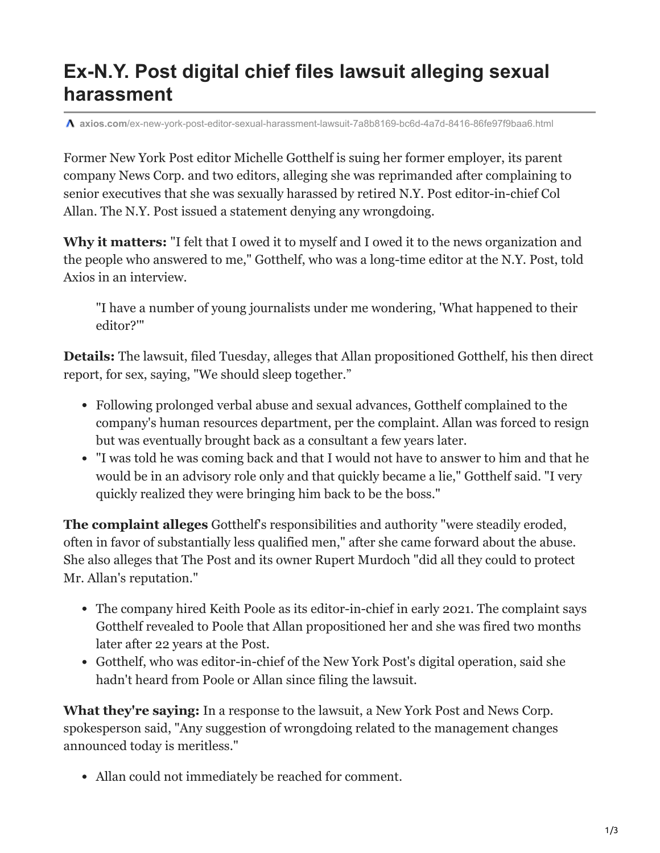## **Ex-N.Y. Post digital chief files lawsuit alleging sexual harassment**

**axios.com**[/ex-new-york-post-editor-sexual-harassment-lawsuit-7a8b8169-bc6d-4a7d-8416-86fe97f9baa6.html](https://www.axios.com/ex-new-york-post-editor-sexual-harassment-lawsuit-7a8b8169-bc6d-4a7d-8416-86fe97f9baa6.html)

Former New York Post editor Michelle Gotthelf is suing her former employer, its parent company News Corp. and two editors, alleging she was reprimanded after complaining to senior executives that she was sexually harassed by retired N.Y. Post editor-in-chief Col Allan. The N.Y. Post issued a statement denying any wrongdoing.

**Why it matters:** "I felt that I owed it to myself and I owed it to the news organization and the people who answered to me," Gotthelf, who was a long-time editor at the N.Y. Post, told Axios in an interview.

"I have a number of young journalists under me wondering, 'What happened to their editor?'"

**Details:** The lawsuit, filed Tuesday, alleges that Allan propositioned Gotthelf, his then direct report, for sex, saying, "We should sleep together."

- Following prolonged verbal abuse and sexual advances, Gotthelf complained to the company's human resources department, per the complaint. Allan was forced to resign but was eventually brought back as a consultant a few years later.
- "I was told he was coming back and that I would not have to answer to him and that he would be in an advisory role only and that quickly became a lie," Gotthelf said. "I very quickly realized they were bringing him back to be the boss."

**The complaint alleges** Gotthelf's responsibilities and authority "were steadily eroded, often in favor of substantially less qualified men," after she came forward about the abuse. She also alleges that The Post and its owner Rupert Murdoch "did all they could to protect Mr. Allan's reputation."

- The company hired Keith Poole as its editor-in-chief in early 2021. The complaint says Gotthelf revealed to Poole that Allan propositioned her and she was fired two months later after 22 years at the Post.
- Gotthelf, who was editor-in-chief of the New York Post's digital operation, said she hadn't heard from Poole or Allan since filing the lawsuit.

**What they're saying:** In a response to the lawsuit, a New York Post and News Corp. spokesperson said, "Any suggestion of wrongdoing related to the management changes announced today is meritless."

Allan could not immediately be reached for comment.